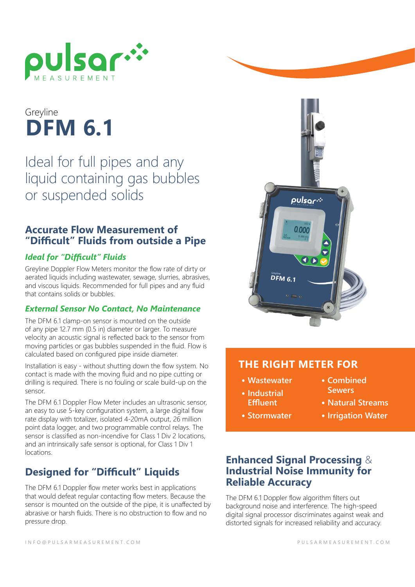

# **DFM 6.1** Greyline

Ideal for full pipes and any liquid containing gas bubbles or suspended solids

## **Accurate Flow Measurement of "Difficult" Fluids from outside a Pipe**

#### *Ideal for "Difficult" Fluids*

Greyline Doppler Flow Meters monitor the flow rate of dirty or aerated liquids including wastewater, sewage, slurries, abrasives, and viscous liquids. Recommended for full pipes and any fluid that contains solids or bubbles.

#### *External Sensor No Contact, No Maintenance*

The DFM 6.1 clamp-on sensor is mounted on the outside of any pipe 12.7 mm (0.5 in) diameter or larger. To measure velocity an acoustic signal is reflected back to the sensor from moving particles or gas bubbles suspended in the fluid. Flow is calculated based on configured pipe inside diameter.

Installation is easy - without shutting down the flow system. No contact is made with the moving fluid and no pipe cutting or drilling is required. There is no fouling or scale build-up on the sensor.

The DFM 6.1 Doppler Flow Meter includes an ultrasonic sensor, an easy to use 5-key configuration system, a large digital flow rate display with totalizer, isolated 4-20mA output, 26 million point data logger, and two programmable control relays. The sensor is classified as non-incendive for Class 1 Div 2 locations, and an intrinsically safe sensor is optional, for Class 1 Div 1 locations.

## **Designed for "Difficult" Liquids**

The DFM 6.1 Doppler flow meter works best in applications that would defeat regular contacting flow meters. Because the sensor is mounted on the outside of the pipe, it is unaffected by abrasive or harsh fluids. There is no obstruction to flow and no pressure drop.



#### **THE RIGHT METER FOR**

- **• Wastewater**
- **• Combined Sewers**
- **• Industrial Effluent**
- **• Natural Streams**
- **• Stormwater**
- 
- 
- **• Irrigation Water**

## **Enhanced Signal Processing** & **Industrial Noise Immunity for Reliable Accuracy**

The DFM 6.1 Doppler flow algorithm filters out background noise and interference. The high-speed digital signal processor discriminates against weak and distorted signals for increased reliability and accuracy.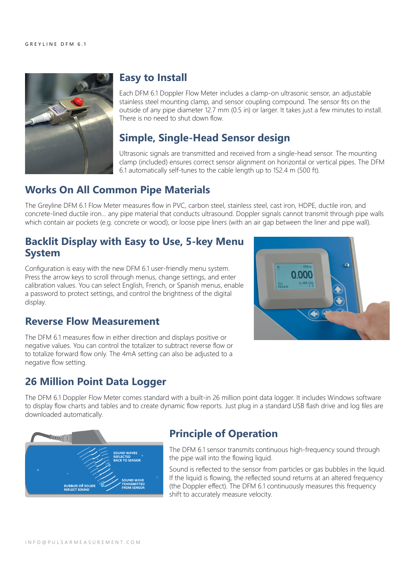

## **Easy to Install**

Each DFM 6.1 Doppler Flow Meter includes a clamp-on ultrasonic sensor, an adjustable stainless steel mounting clamp, and sensor coupling compound. The sensor fits on the outside of any pipe diameter 12.7 mm (0.5 in) or larger. It takes just a few minutes to install. There is no need to shut down flow.

## **Simple, Single-Head Sensor design**

Ultrasonic signals are transmitted and received from a single-head sensor. The mounting clamp (included) ensures correct sensor alignment on horizontal or vertical pipes. The DFM 6.1 automatically self-tunes to the cable length up to 152.4 m (500 ft).

## **Works On All Common Pipe Materials**

The Greyline DFM 6.1 Flow Meter measures flow in PVC, carbon steel, stainless steel, cast iron, HDPE, ductile iron, and concrete-lined ductile iron... any pipe material that conducts ultrasound. Doppler signals cannot transmit through pipe walls which contain air pockets (e.g. concrete or wood), or loose pipe liners (with an air gap between the liner and pipe wall).

## **Backlit Display with Easy to Use, 5-key Menu System**

Configuration is easy with the new DFM 6.1 user-friendly menu system. Press the arrow keys to scroll through menus, change settings, and enter calibration values. You can select English, French, or Spanish menus, enable a password to protect settings, and control the brightness of the digital display.

#### **Reverse Flow Measurement**

0.000 Tot<br>Relays 0.000 US

The DFM 6.1 measures flow in either direction and displays positive or negative values. You can control the totalizer to subtract reverse flow or to totalize forward flow only. The 4mA setting can also be adjusted to a negative flow setting.

## **26 Million Point Data Logger**

The DFM 6.1 Doppler Flow Meter comes standard with a built-in 26 million point data logger. It includes Windows software to display flow charts and tables and to create dynamic flow reports. Just plug in a standard USB flash drive and log files are downloaded automatically.



## **Principle of Operation**

The DFM 6.1 sensor transmits continuous high-frequency sound through the pipe wall into the flowing liquid.

Sound is reflected to the sensor from particles or gas bubbles in the liquid. If the liquid is flowing, the reflected sound returns at an altered frequency (the Doppler effect). The DFM 6.1 continuously measures this frequency shift to accurately measure velocity.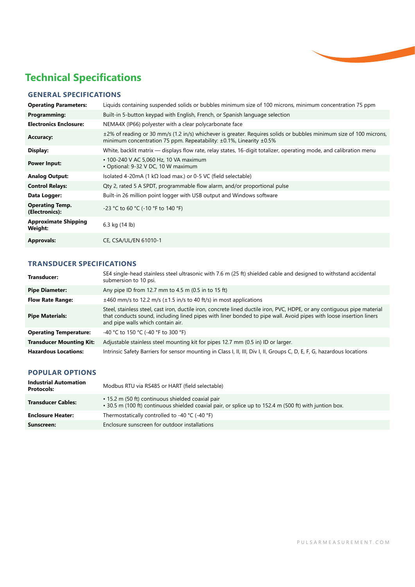

## **Technical Specifications**

#### **GENERAL SPECIFICATIONS**

| <b>Operating Parameters:</b>             | Liquids containing suspended solids or bubbles minimum size of 100 microns, minimum concentration 75 ppm                                                                                               |
|------------------------------------------|--------------------------------------------------------------------------------------------------------------------------------------------------------------------------------------------------------|
| Programming:                             | Built-in 5-button keypad with English, French, or Spanish language selection                                                                                                                           |
| <b>Electronics Enclosure:</b>            | NEMA4X (IP66) polyester with a clear polycarbonate face                                                                                                                                                |
| <b>Accuracy:</b>                         | ±2% of reading or 30 mm/s (1.2 in/s) whichever is greater. Requires solids or bubbles minimum size of 100 microns,<br>minimum concentration 75 ppm. Repeatability: $\pm 0.1\%$ , Linearity $\pm 0.5\%$ |
| Display:                                 | White, backlit matrix — displays flow rate, relay states, 16-digit totalizer, operating mode, and calibration menu                                                                                     |
| <b>Power Input:</b>                      | • 100-240 V AC 5,060 Hz, 10 VA maximum<br>• Optional: 9-32 V DC, 10 W maximum                                                                                                                          |
| <b>Analog Output:</b>                    | Isolated 4-20mA (1 kΩ load max.) or 0-5 VC (field selectable)                                                                                                                                          |
| <b>Control Relays:</b>                   | Qty 2, rated 5 A SPDT, programmable flow alarm, and/or proportional pulse                                                                                                                              |
| Data Logger:                             | Built-in 26 million point logger with USB output and Windows software                                                                                                                                  |
| <b>Operating Temp.</b><br>(Electronics): | -23 °C to 60 °C (-10 °F to 140 °F)                                                                                                                                                                     |
| <b>Approximate Shipping</b><br>Weight:   | 6.3 kg (14 lb)                                                                                                                                                                                         |
| <b>Approvals:</b>                        | CE, CSA/UL/EN 61010-1                                                                                                                                                                                  |

#### **TRANSDUCER SPECIFICATIONS**

| Transducer:                     | SE4 single-head stainless steel ultrasonic with 7.6 m (25 ft) shielded cable and designed to withstand accidental<br>submersion to 10 psi.                                                                                                                                          |
|---------------------------------|-------------------------------------------------------------------------------------------------------------------------------------------------------------------------------------------------------------------------------------------------------------------------------------|
| <b>Pipe Diameter:</b>           | Any pipe ID from 12.7 mm to 4.5 m (0.5 in to 15 ft)                                                                                                                                                                                                                                 |
| <b>Flow Rate Range:</b>         | $\pm$ 460 mm/s to 12.2 m/s ( $\pm$ 1.5 in/s to 40 ft/s) in most applications                                                                                                                                                                                                        |
| <b>Pipe Materials:</b>          | Steel, stainless steel, cast iron, ductile iron, concrete lined ductile iron, PVC, HDPE, or any contiguous pipe material<br>that conducts sound, including lined pipes with liner bonded to pipe wall. Avoid pipes with loose insertion liners<br>and pipe walls which contain air. |
| <b>Operating Temperature:</b>   | -40 °C to 150 °C (-40 °F to 300 °F)                                                                                                                                                                                                                                                 |
| <b>Transducer Mounting Kit:</b> | Adjustable stainless steel mounting kit for pipes 12.7 mm (0.5 in) ID or larger.                                                                                                                                                                                                    |
| <b>Hazardous Locations:</b>     | Intrinsic Safety Barriers for sensor mounting in Class I, II, III, Div I, II, Groups C, D, E, F, G, hazardous locations                                                                                                                                                             |

#### **POPULAR OPTIONS**

| <b>Industrial Automation</b><br><b>Protocols:</b> | Modbus RTU via RS485 or HART (field selectable)                                                                                                             |
|---------------------------------------------------|-------------------------------------------------------------------------------------------------------------------------------------------------------------|
| <b>Transducer Cables:</b>                         | • 15.2 m (50 ft) continuous shielded coaxial pair<br>. 30.5 m (100 ft) continuous shielded coaxial pair, or splice up to 152.4 m (500 ft) with juntion box. |
| <b>Enclosure Heater:</b>                          | Thermostatically controlled to -40 $°C$ (-40 $°F$ )                                                                                                         |
| Sunscreen:                                        | Enclosure sunscreen for outdoor installations                                                                                                               |